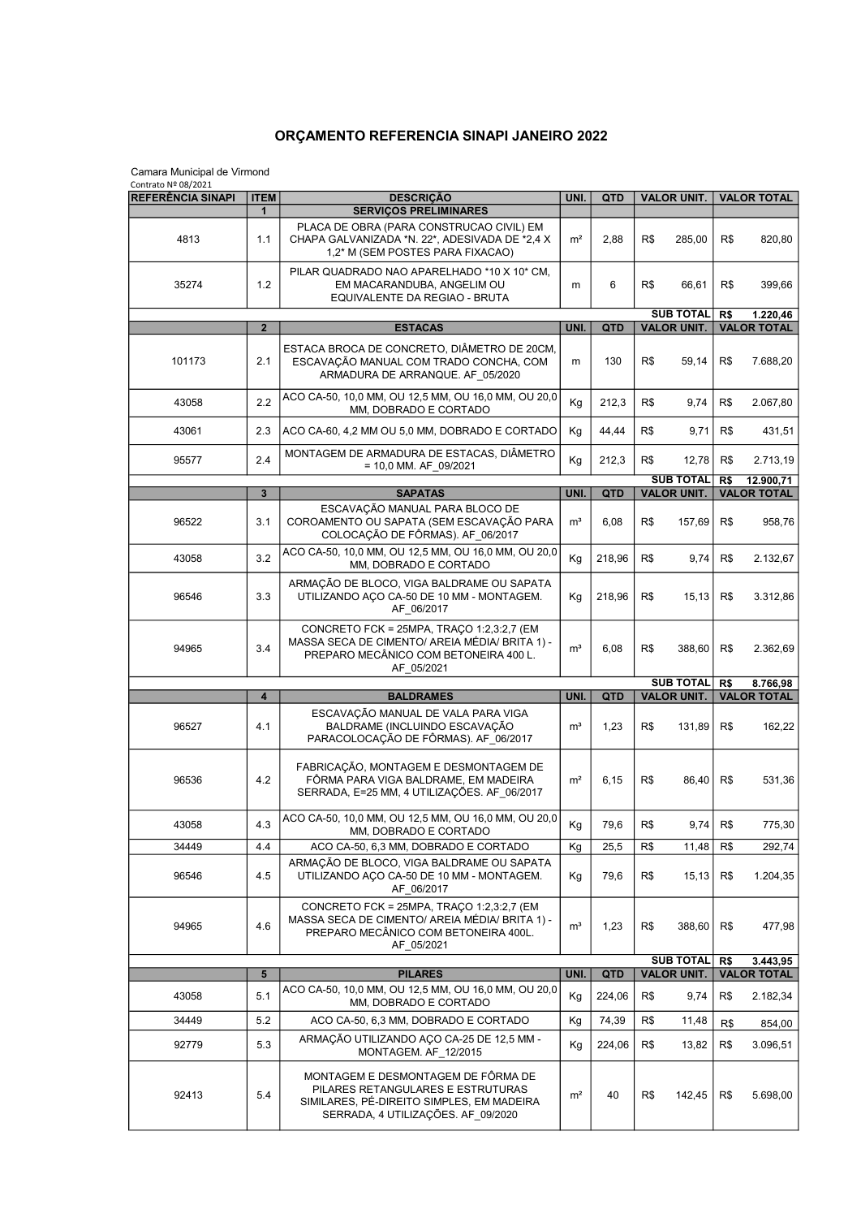## ORÇAMENTO REFERENCIA SINAPI JANEIRO 2022

| Camara Municipal de Virmond<br>Contrato Nº 08/2021 |                         |                                                                                                                                                                |                |            |                                        |                                       |                                 |  |
|----------------------------------------------------|-------------------------|----------------------------------------------------------------------------------------------------------------------------------------------------------------|----------------|------------|----------------------------------------|---------------------------------------|---------------------------------|--|
| <b>REFERÊNCIA SINAPI</b>                           | <b>ITEM</b>             | <b>DESCRIÇÃO</b>                                                                                                                                               | UNI.           | <b>QTD</b> | <b>VALOR UNIT.</b>                     | <b>VALOR TOTAL</b>                    |                                 |  |
| 4813                                               | $\mathbf{1}$<br>1.1     | <b>SERVIÇOS PRELIMINARES</b><br>PLACA DE OBRA (PARA CONSTRUCAO CIVIL) EM<br>CHAPA GALVANIZADA *N. 22*, ADESIVADA DE *2,4 X<br>1,2* M (SEM POSTES PARA FIXACAO) | m <sup>2</sup> | 2,88       | R\$<br>285,00                          | R\$                                   | 820,80                          |  |
| 35274                                              | 1.2                     | PILAR QUADRADO NAO APARELHADO *10 X 10* CM,<br>EM MACARANDUBA, ANGELIM OU<br>EQUIVALENTE DA REGIAO - BRUTA                                                     | m              | 6          | R\$<br>66,61                           | R\$                                   | 399,66                          |  |
|                                                    |                         |                                                                                                                                                                |                |            | <b>SUB TOTAL</b>                       | R\$                                   | 1.220,46<br><b>VALOR TOTAL</b>  |  |
|                                                    | $\overline{2}$          | <b>ESTACAS</b>                                                                                                                                                 | UNI.           | <b>QTD</b> | <b>VALOR UNIT.</b>                     |                                       |                                 |  |
| 101173                                             | 2.1                     | ESTACA BROCA DE CONCRETO, DIÂMETRO DE 20CM,<br>ESCAVAÇÃO MANUAL COM TRADO CONCHA, COM<br>ARMADURA DE ARRANQUE. AF 05/2020                                      | m              | 130        | R\$<br>59,14                           | R\$                                   | 7.688,20                        |  |
| 43058                                              | 2.2                     | ACO CA-50, 10,0 MM, OU 12,5 MM, OU 16,0 MM, OU 20,0<br>MM, DOBRADO E CORTADO                                                                                   | Kg             | 212,3      | R\$<br>9,74                            | R\$                                   | 2.067,80                        |  |
| 43061                                              | 2.3                     | ACO CA-60, 4,2 MM OU 5,0 MM, DOBRADO E CORTADO                                                                                                                 | Kg             | 44,44      | R\$<br>9,71                            | R\$                                   | 431,51                          |  |
| 95577                                              | 2.4                     | MONTAGEM DE ARMADURA DE ESTACAS, DIÂMETRO<br>$= 10,0$ MM. AF_09/2021                                                                                           | Kg             | 212,3      | R\$<br>12,78                           | R\$                                   | 2.713,19                        |  |
|                                                    | $\overline{\mathbf{3}}$ | <b>SAPATAS</b>                                                                                                                                                 | UNI.           | QTD        | <b>SUB TOTAL</b><br><b>VALOR UNIT.</b> | R\$                                   | 12.900,71<br><b>VALOR TOTAL</b> |  |
|                                                    |                         | ESCAVAÇÃO MANUAL PARA BLOCO DE                                                                                                                                 |                |            |                                        |                                       |                                 |  |
| 96522                                              | 3.1                     | COROAMENTO OU SAPATA (SEM ESCAVAÇÃO PARA<br>COLOCAÇÃO DE FÔRMAS). AF 06/2017                                                                                   | m <sup>3</sup> | 6,08       | R\$<br>157,69                          | R\$                                   | 958,76                          |  |
| 43058                                              | 3.2                     | ACO CA-50, 10,0 MM, OU 12,5 MM, OU 16,0 MM, OU 20,0<br>MM, DOBRADO E CORTADO                                                                                   | Kg             | 218,96     | R\$<br>9,74                            | R\$                                   | 2.132,67                        |  |
| 96546                                              | 3.3                     | ARMAÇÃO DE BLOCO, VIGA BALDRAME OU SAPATA<br>UTILIZANDO AÇO CA-50 DE 10 MM - MONTAGEM.<br>AF_06/2017                                                           | Кg             | 218,96     | R\$<br>15, 13                          | R\$                                   | 3.312,86                        |  |
| 94965                                              | 3.4                     | CONCRETO FCK = 25MPA, TRAÇO 1:2,3:2,7 (EM<br>MASSA SECA DE CIMENTO/ AREIA MÉDIA/ BRITA 1) -<br>PREPARO MECÂNICO COM BETONEIRA 400 L.<br>AF 05/2021             | m <sup>3</sup> | 6,08       | R\$<br>388,60                          | R\$                                   | 2.362,69                        |  |
|                                                    |                         |                                                                                                                                                                |                |            | <b>SUB TOTAL</b>                       | R\$<br>8.766,98                       |                                 |  |
|                                                    | $\overline{\mathbf{4}}$ | <b>BALDRAMES</b>                                                                                                                                               | UNI.           | <b>QTD</b> | <b>VALOR UNIT.</b>                     |                                       | <b>VALOR TOTAL</b>              |  |
| 96527                                              | 4.1                     | ESCAVAÇÃO MANUAL DE VALA PARA VIGA<br>BALDRAME (INCLUINDO ESCAVAÇÃO<br>PARACOLOCAÇÃO DE FÔRMAS). AF_06/2017                                                    | m <sup>3</sup> | 1,23       | R\$<br>131,89                          | R\$                                   | 162,22                          |  |
| 96536                                              | 4.2                     | FABRICAÇÃO, MONTAGEM E DESMONTAGEM DE<br>FÔRMA PARA VIGA BALDRAME. EM MADEIRA<br>SERRADA, E=25 MM, 4 UTILIZAÇÕES. AF 06/2017                                   | m <sup>2</sup> | 6,15       | R\$<br>86,40                           | R\$                                   | 531,36                          |  |
| 43058                                              | 4.3                     | ACO CA-50, 10,0 MM, OU 12,5 MM, OU 16,0 MM, OU 20,0<br>MM, DOBRADO E CORTADO                                                                                   | Кg             | 79,6       | R\$<br>9,74                            | R\$                                   | 775,30                          |  |
| 34449                                              | 4.4                     | ACO CA-50, 6,3 MM, DOBRADO E CORTADO                                                                                                                           | Kg             | 25,5       | R\$<br>11,48                           | R\$                                   | 292,74                          |  |
| 96546                                              | 4.5                     | ARMAÇÃO DE BLOCO, VIGA BALDRAME OU SAPATA<br>UTILIZANDO ACO CA-50 DE 10 MM - MONTAGEM.<br>AF_06/2017                                                           | Kg             | 79,6       | R\$<br>15, 13                          | R\$                                   | 1.204,35                        |  |
| 94965                                              | 4.6                     | CONCRETO FCK = 25MPA, TRAÇO 1:2,3:2,7 (EM<br>MASSA SECA DE CIMENTO/ AREIA MÉDIA/ BRITA 1) -<br>PREPARO MECÂNICO COM BETONEIRA 400L.<br>AF 05/2021              | m <sup>3</sup> | 1,23       | R\$<br>388,60                          | R\$                                   | 477,98                          |  |
|                                                    |                         |                                                                                                                                                                |                |            | <b>SUB TOTAL</b>                       | R\$<br>3.443,95<br><b>VALOR TOTAL</b> |                                 |  |
|                                                    | 5                       | <b>PILARES</b><br>ACO CA-50, 10,0 MM, OU 12,5 MM, OU 16,0 MM, OU 20,0                                                                                          | UNI.           | <b>QTD</b> | <b>VALOR UNIT.</b>                     |                                       |                                 |  |
| 43058                                              | 5.1                     | MM, DOBRADO E CORTADO                                                                                                                                          | Kg             | 224,06     | R\$<br>9,74                            | R\$                                   | 2.182,34                        |  |
| 34449                                              | 5.2                     | ACO CA-50, 6,3 MM, DOBRADO E CORTADO                                                                                                                           | Kg             | 74,39      | R\$<br>11,48                           | R\$                                   | 854,00                          |  |
| 92779                                              | 5.3                     | ARMAÇÃO UTILIZANDO AÇO CA-25 DE 12,5 MM -<br>MONTAGEM. AF 12/2015                                                                                              | Кg             | 224,06     | R\$<br>13,82                           | R\$                                   | 3.096,51                        |  |
| 92413                                              | 5.4                     | MONTAGEM E DESMONTAGEM DE FÔRMA DE<br>PILARES RETANGULARES E ESTRUTURAS<br>SIMILARES, PÉ-DIREITO SIMPLES, EM MADEIRA<br>SERRADA, 4 UTILIZAÇÕES. AF_09/2020     | m <sup>2</sup> | 40         | R\$<br>142,45                          | R\$                                   | 5.698,00                        |  |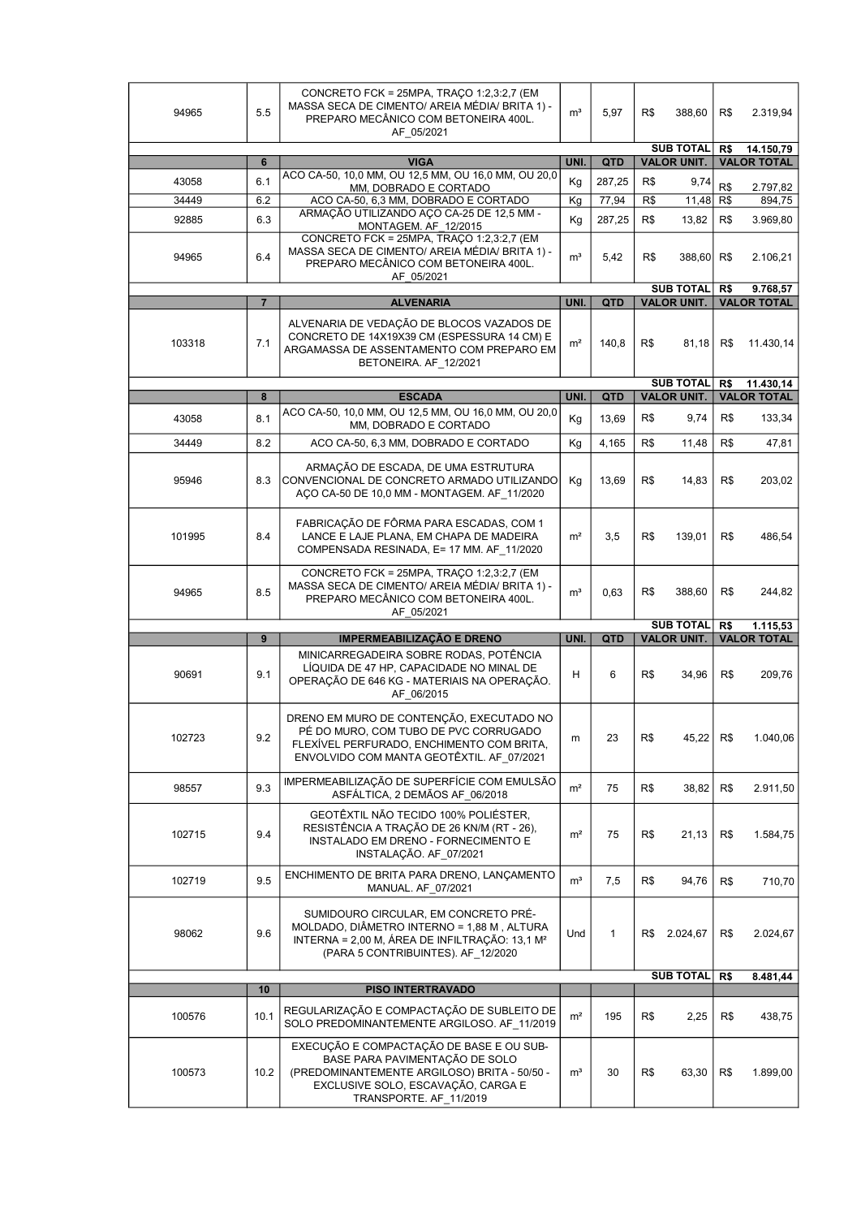| 94965  | 5.5            | CONCRETO FCK = 25MPA, TRAÇO 1:2,3:2,7 (EM<br>MASSA SECA DE CIMENTO/ AREIA MÉDIA/ BRITA 1) -<br>PREPARO MECÂNICO COM BETONEIRA 400L.<br>AF_05/2021                                          | m <sup>3</sup> | 5,97                 | R\$                                    | 388,60                                        | R\$                                    | 2.319,94           |
|--------|----------------|--------------------------------------------------------------------------------------------------------------------------------------------------------------------------------------------|----------------|----------------------|----------------------------------------|-----------------------------------------------|----------------------------------------|--------------------|
|        |                | <b>VIGA</b>                                                                                                                                                                                | UNI.           |                      | <b>SUB TOTAL</b><br><b>VALOR UNIT.</b> |                                               | R\$<br>14.150,79<br><b>VALOR TOTAL</b> |                    |
| 43058  | 6<br>6.1       | ACO CA-50, 10,0 MM, OU 12,5 MM, OU 16,0 MM, OU 20,0                                                                                                                                        | Kg             | <b>QTD</b><br>287,25 | R\$                                    | 9,74                                          |                                        |                    |
| 34449  | 6.2            | MM, DOBRADO E CORTADO<br>ACO CA-50, 6,3 MM, DOBRADO E CORTADO                                                                                                                              | Kg             | 77,94                | R\$                                    | 11,48                                         | R\$<br>R\$                             | 2.797,82<br>894,75 |
| 92885  | 6.3            | ARMAÇÃO UTILIZANDO AÇO CA-25 DE 12,5 MM -                                                                                                                                                  | Kg             | 287,25               | R\$                                    | 13,82                                         | R\$                                    | 3.969,80           |
|        |                | MONTAGEM. AF 12/2015<br>CONCRETO FCK = 25MPA, TRAÇO 1:2,3:2,7 (EM                                                                                                                          |                |                      |                                        |                                               |                                        |                    |
| 94965  | 6.4            | MASSA SECA DE CIMENTO/ AREIA MÉDIA/ BRITA 1) -<br>PREPARO MECÂNICO COM BETONEIRA 400L.<br>AF 05/2021                                                                                       | m <sup>3</sup> | 5,42                 | R\$                                    | 388,60                                        | R\$                                    | 2.106,21           |
|        |                |                                                                                                                                                                                            |                |                      |                                        | <b>SUB TOTAL</b><br>R\$<br><b>VALOR UNIT.</b> |                                        | 9.768,57           |
|        | $\overline{7}$ | <b>ALVENARIA</b>                                                                                                                                                                           | UNI.           | QTD                  |                                        |                                               |                                        | <b>VALOR TOTAL</b> |
| 103318 | 7.1            | ALVENARIA DE VEDAÇÃO DE BLOCOS VAZADOS DE<br>CONCRETO DE 14X19X39 CM (ESPESSURA 14 CM) E<br>ARGAMASSA DE ASSENTAMENTO COM PREPARO EM<br>BETONEIRA. AF_12/2021                              | m <sup>2</sup> | 140,8                | R\$                                    | 81,18                                         | R\$                                    | 11.430,14          |
|        |                |                                                                                                                                                                                            |                |                      |                                        | <b>SUB TOTAL</b>                              | R\$<br>11.430,14                       |                    |
|        | 8              | <b>ESCADA</b>                                                                                                                                                                              | UNI.           | <b>QTD</b>           |                                        | <b>VALOR UNIT.</b>                            |                                        | <b>VALOR TOTAL</b> |
| 43058  | 8.1            | ACO CA-50, 10,0 MM, OU 12,5 MM, OU 16,0 MM, OU 20,0<br>MM, DOBRADO E CORTADO                                                                                                               | Kg             | 13,69                | R\$                                    | 9,74                                          | R\$                                    | 133,34             |
| 34449  | 8.2            | ACO CA-50, 6,3 MM, DOBRADO E CORTADO                                                                                                                                                       | Kg             | 4,165                | R\$                                    | 11,48                                         | R\$                                    | 47,81              |
| 95946  | 8.3            | ARMAÇÃO DE ESCADA, DE UMA ESTRUTURA<br>CONVENCIONAL DE CONCRETO ARMADO UTILIZANDO<br>AÇO CA-50 DE 10,0 MM - MONTAGEM. AF 11/2020                                                           | Kg             | 13,69                | R\$                                    | 14,83                                         | R\$                                    | 203,02             |
| 101995 | 8.4            | FABRICAÇÃO DE FÔRMA PARA ESCADAS, COM 1<br>LANCE E LAJE PLANA, EM CHAPA DE MADEIRA<br>COMPENSADA RESINADA, E= 17 MM. AF 11/2020                                                            | m <sup>2</sup> | 3,5                  | R\$                                    | 139,01                                        | R\$                                    | 486,54             |
| 94965  | 8.5            | CONCRETO FCK = 25MPA, TRAÇO 1:2,3:2,7 (EM<br>MASSA SECA DE CIMENTO/ AREIA MÉDIA/ BRITA 1) -<br>PREPARO MECÂNICO COM BETONEIRA 400L.<br>AF 05/2021                                          | m <sup>3</sup> | 0.63                 | R\$                                    | 388,60                                        | R\$                                    | 244,82             |
|        |                |                                                                                                                                                                                            |                |                      | <b>SUB TOTAL</b>                       |                                               | R\$                                    | 1.115,53           |
|        | 9              | <b>IMPERMEABILIZAÇAO E DRENO</b>                                                                                                                                                           | UNI.           | <b>QTD</b>           |                                        | <b>VALOR UNIT.</b>                            |                                        | <b>VALOR TOTAL</b> |
| 90691  | 9.1            | MINICARREGADEIRA SOBRE RODAS, POTÊNCIA<br>LIQUIDA DE 47 HP, CAPACIDADE NO MINAL DE<br>OPERAÇÃO DE 646 KG - MATERIAIS NA OPERAÇÃO.<br>AF 06/2015                                            | H              | 6                    | R\$                                    | 34,96                                         | R\$                                    | 209,76             |
| 102723 | 9.2            | DRENO EM MURO DE CONTENÇÃO, EXECUTADO NO<br>PÉ DO MURO, COM TUBO DE PVC CORRUGADO<br>FLEXIVEL PERFURADO, ENCHIMENTO COM BRITA,<br>ENVOLVIDO COM MANTA GEOTÊXTIL. AF 07/2021                | m              | 23                   | R\$                                    | 45,22                                         | R\$                                    | 1.040,06           |
| 98557  | 9.3            | IMPERMEABILIZAÇÃO DE SUPERFÍCIE COM EMULSÃO<br>ASFÁLTICA, 2 DEMÃOS AF 06/2018                                                                                                              | m <sup>2</sup> | 75                   | R\$                                    | 38,82                                         | R\$                                    | 2.911,50           |
| 102715 | 9.4            | GEOTÊXTIL NÃO TECIDO 100% POLIÉSTER,<br>RESISTÊNCIA A TRAÇÃO DE 26 KN/M (RT - 26),<br>INSTALADO EM DRENO - FORNECIMENTO E<br>INSTALAÇÃO. AF_07/2021                                        | m <sup>2</sup> | 75                   | R\$                                    | 21,13                                         | R\$                                    | 1.584,75           |
| 102719 | 9.5            | ENCHIMENTO DE BRITA PARA DRENO, LANÇAMENTO<br>MANUAL. AF_07/2021                                                                                                                           | m <sup>3</sup> | 7,5                  | R\$                                    | 94,76                                         | R\$                                    | 710,70             |
| 98062  | 9.6            | SUMIDOURO CIRCULAR, EM CONCRETO PRÉ-<br>MOLDADO, DIÂMETRO INTERNO = 1,88 M, ALTURA<br>INTERNA = 2,00 M, ÁREA DE INFILTRAÇÃO: 13,1 M <sup>2</sup><br>(PARA 5 CONTRIBUINTES). AF 12/2020     | Und            | 1                    | R\$                                    | 2.024,67                                      | R\$                                    | 2.024,67           |
|        |                |                                                                                                                                                                                            |                |                      | <b>SUB TOTAL</b>                       |                                               | R\$                                    | 8.481,44           |
| 100576 | 10<br>10.1     | PISO INTERTRAVADO<br>REGULARIZAÇÃO E COMPACTAÇÃO DE SUBLEITO DE<br>SOLO PREDOMINANTEMENTE ARGILOSO. AF 11/2019                                                                             | m <sup>2</sup> | 195                  | R\$                                    | 2,25                                          | R\$                                    | 438,75             |
| 100573 | 10.2           | EXECUÇÃO E COMPACTAÇÃO DE BASE E OU SUB-<br>BASE PARA PAVIMENTAÇÃO DE SOLO<br>(PREDOMINANTEMENTE ARGILOSO) BRITA - 50/50 -<br>EXCLUSIVE SOLO, ESCAVAÇÃO, CARGA E<br>TRANSPORTE. AF_11/2019 | m <sup>3</sup> | 30                   | R\$                                    | 63,30                                         | R\$                                    | 1.899,00           |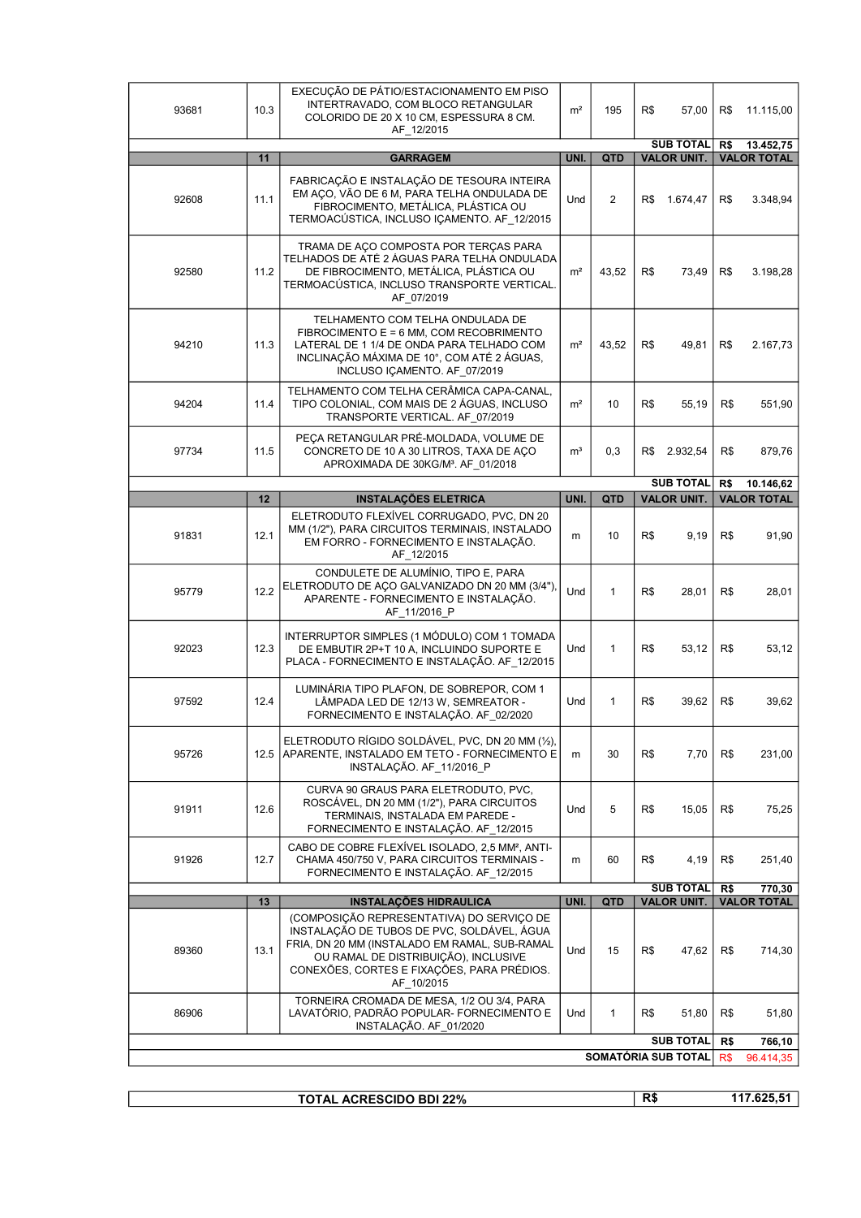| 93681                                   | 10.3 | EXECUÇÃO DE PÁTIO/ESTACIONAMENTO EM PISO<br>INTERTRAVADO, COM BLOCO RETANGULAR<br>COLORIDO DE 20 X 10 CM, ESPESSURA 8 CM.<br>AF_12/2015                                                                                                      | m <sup>2</sup> | 195            | R\$                                    | 57,00                                  | R\$                                    | 11.115,00           |
|-----------------------------------------|------|----------------------------------------------------------------------------------------------------------------------------------------------------------------------------------------------------------------------------------------------|----------------|----------------|----------------------------------------|----------------------------------------|----------------------------------------|---------------------|
|                                         | 11   | <b>GARRAGEM</b>                                                                                                                                                                                                                              | UNI.           | QTD            | <b>SUB TOTAL</b><br><b>VALOR UNIT.</b> |                                        | R\$<br>13.452,75<br><b>VALOR TOTAL</b> |                     |
| 92608                                   | 11.1 | FABRICAÇÃO E INSTALAÇÃO DE TESOURA INTEIRA<br>EM AÇO, VÃO DE 6 M, PARA TELHA ONDULADA DE<br>FIBROCIMENTO, METÁLICA, PLÁSTICA OU<br>TERMOACÚSTICA, INCLUSO IÇAMENTO. AF_12/2015                                                               | <b>Und</b>     | $\overline{2}$ | R\$                                    | 1.674,47                               | R\$                                    | 3.348,94            |
| 92580                                   | 11.2 | TRAMA DE AÇO COMPOSTA POR TERÇAS PARA<br>TELHADOS DE ATÉ 2 ÁGUAS PARA TELHA ONDULADA<br>DE FIBROCIMENTO, METÁLICA, PLÁSTICA OU<br>TERMOACÚSTICA, INCLUSO TRANSPORTE VERTICAL.<br>AF 07/2019                                                  | m <sup>2</sup> | 43,52          | R\$                                    | 73,49                                  | R\$                                    | 3.198.28            |
| 94210                                   | 11.3 | TELHAMENTO COM TELHA ONDULADA DE<br>FIBROCIMENTO E = 6 MM, COM RECOBRIMENTO<br>LATERAL DE 1 1/4 DE ONDA PARA TELHADO COM<br>INCLINAÇÃO MÁXIMA DE 10°, COM ATÉ 2 ÁGUAS,<br>INCLUSO IÇAMENTO. AF 07/2019                                       | m <sup>2</sup> | 43,52          | R\$                                    | 49,81                                  | R\$                                    | 2.167,73            |
| 94204                                   | 11.4 | TELHAMENTO COM TELHA CERÂMICA CAPA-CANAL,<br>TIPO COLONIAL, COM MAIS DE 2 ÁGUAS, INCLUSO<br>TRANSPORTE VERTICAL. AF 07/2019                                                                                                                  | m <sup>2</sup> | 10             | R\$                                    | 55,19                                  | R\$                                    | 551,90              |
| 97734                                   | 11.5 | PECA RETANGULAR PRÉ-MOLDADA, VOLUME DE<br>CONCRETO DE 10 A 30 LITROS, TAXA DE AÇO<br>APROXIMADA DE 30KG/M <sup>3</sup> . AF 01/2018                                                                                                          | m <sup>3</sup> | 0,3            | R\$                                    | 2.932,54                               | R\$                                    | 879,76              |
|                                         |      |                                                                                                                                                                                                                                              |                |                |                                        | <b>SUB TOTAL</b>                       | R\$                                    | 10.146,62           |
|                                         | 12   | <b>INSTALAÇÕES ELETRICA</b>                                                                                                                                                                                                                  | UNI.           | QTD            |                                        | <b>VALOR UNIT.</b>                     |                                        | <b>VALOR TOTAL</b>  |
| 91831                                   | 12.1 | ELETRODUTO FLEXÍVEL CORRUGADO, PVC, DN 20<br>MM (1/2"), PARA CIRCUITOS TERMINAIS, INSTALADO<br>EM FORRO - FORNECIMENTO E INSTALAÇÃO.<br>AF_12/2015                                                                                           | m              | 10             | R\$                                    | 9,19                                   | R\$                                    | 91,90               |
| 95779                                   | 12.2 | CONDULETE DE ALUMÍNIO, TIPO E, PARA<br>ELETRODUTO DE AÇO GALVANIZADO DN 20 MM (3/4").<br>APARENTE - FORNECIMENTO E INSTALAÇÃO.<br>AF_11/2016_P                                                                                               | Und            | $\mathbf{1}$   | R\$                                    | 28,01                                  | R\$                                    | 28,01               |
| 92023                                   | 12.3 | INTERRUPTOR SIMPLES (1 MÓDULO) COM 1 TOMADA<br>DE EMBUTIR 2P+T 10 A, INCLUINDO SUPORTE E<br>PLACA - FORNECIMENTO E INSTALAÇÃO. AF 12/2015                                                                                                    | Und            | $\mathbf{1}$   | R\$                                    | 53,12                                  | R\$                                    | 53,12               |
| 97592                                   | 12.4 | LUMINÁRIA TIPO PLAFON, DE SOBREPOR, COM 1<br>LÂMPADA LED DE 12/13 W, SEMREATOR -<br>FORNECIMENTO E INSTALAÇÃO. AF 02/2020                                                                                                                    | Und            | $\mathbf{1}$   | R\$                                    | 39,62                                  | R\$                                    | 39,62               |
| 95726                                   |      | ELETRODUTO RÍGIDO SOLDÁVEL, PVC, DN 20 MM (1/2),<br>12.5 APARENTE, INSTALADO EM TETO - FORNECIMENTO E<br>INSTALAÇÃO. AF 11/2016 P                                                                                                            | m              | 30             | R\$                                    | 7,70                                   | R\$                                    | 231,00              |
| 91911                                   | 12.6 | CURVA 90 GRAUS PARA ELETRODUTO, PVC,<br>ROSCÁVEL, DN 20 MM (1/2"), PARA CIRCUITOS<br>TERMINAIS, INSTALADA EM PAREDE -<br>FORNECIMENTO E INSTALAÇÃO. AF_12/2015                                                                               | Und            | 5              | R\$                                    | 15,05                                  | R\$                                    | 75,25               |
| 91926                                   | 12.7 | CABO DE COBRE FLEXÍVEL ISOLADO, 2,5 MM <sup>2</sup> , ANTI-<br>CHAMA 450/750 V, PARA CIRCUITOS TERMINAIS -<br>FORNECIMENTO E INSTALAÇÃO. AF 12/2015                                                                                          | m              | 60             | R\$                                    | 4,19                                   | R\$                                    | 251,40              |
|                                         | 13   | <b>INSTALAÇÕES HIDRAULICA</b>                                                                                                                                                                                                                | UNI.           | QTD            |                                        | <b>SUB TOTAL</b><br><b>VALOR UNIT.</b> | R\$<br>770,30<br><b>VALOR TOTAL</b>    |                     |
| 89360                                   | 13.1 | (COMPOSIÇÃO REPRESENTATIVA) DO SERVIÇO DE<br>INSTALAÇÃO DE TUBOS DE PVC, SOLDÁVEL, ÁGUA<br>FRIA, DN 20 MM (INSTALADO EM RAMAL, SUB-RAMAL<br>OU RAMAL DE DISTRIBUIÇÃO), INCLUSIVE<br>CONEXÕES, CORTES E FIXAÇÕES, PARA PRÉDIOS.<br>AF_10/2015 | Und            | 15             | R\$                                    | 47,62                                  | R\$                                    | 714,30              |
| 86906                                   |      | TORNEIRA CROMADA DE MESA, 1/2 OU 3/4, PARA<br>LAVATÓRIO, PADRÃO POPULAR- FORNECIMENTO E<br>INSTALAÇÃO. AF 01/2020                                                                                                                            | Und            | $\mathbf{1}$   | R\$                                    | 51,80                                  | R\$                                    | 51,80               |
| <b>SUB TOTAL</b><br>SOMATÓRIA SUB TOTAL |      |                                                                                                                                                                                                                                              |                |                |                                        |                                        | R\$<br>R\$                             | 766,10<br>96.414,35 |

| <b>TOTAL ACRESCIDO BDI 22%</b> | R\$ | 11700E<br>. . |
|--------------------------------|-----|---------------|
|                                |     |               |